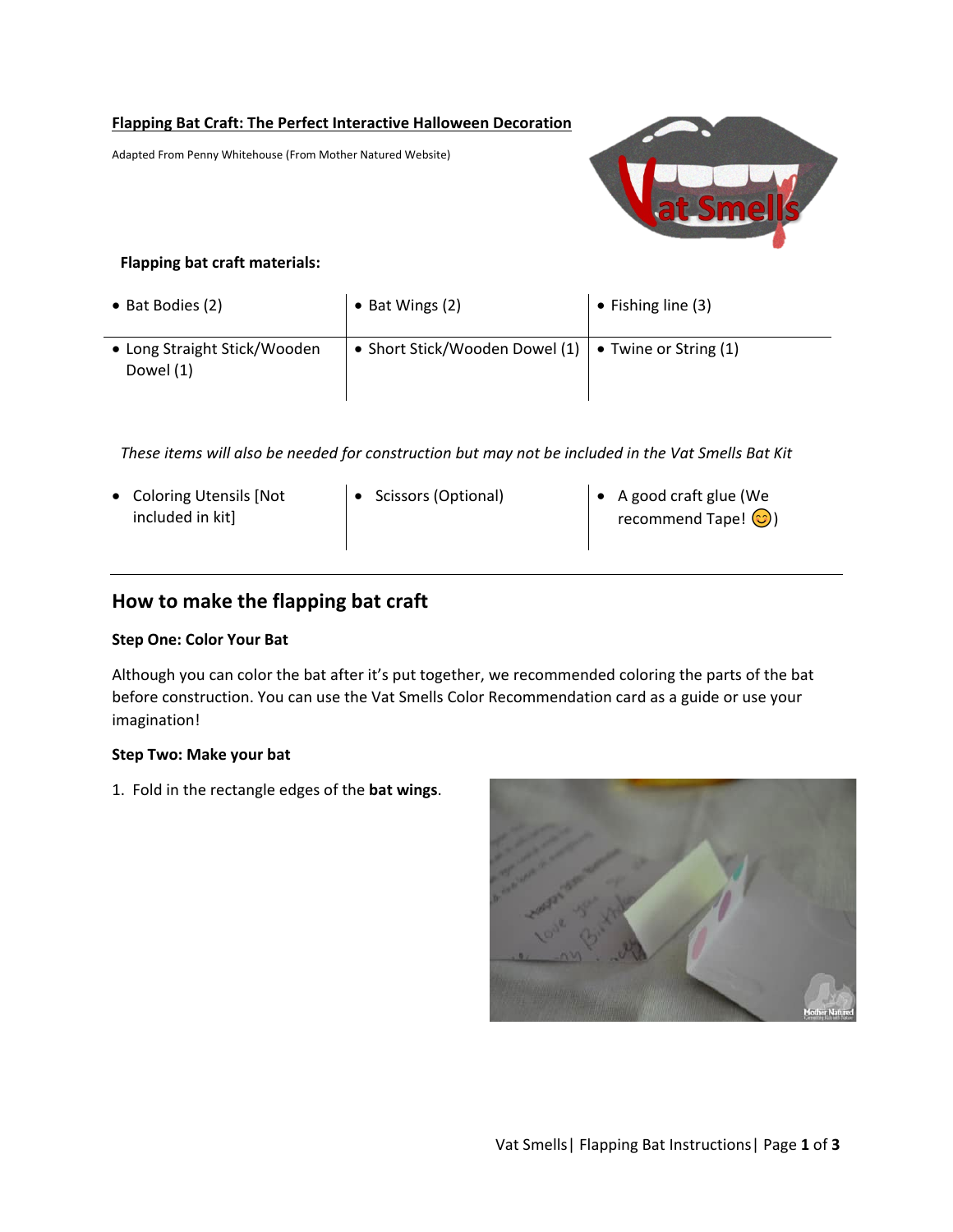### **Flapping Bat Craft: The Perfect Interactive Halloween Decoration**

Adapted From Penny Whitehouse (From Mother Natured Website)



## **Flapping bat craft materials:**

| • Bat Bodies (2)                          | $\bullet$ Bat Wings (2)                                          | $\bullet$ Fishing line (3) |
|-------------------------------------------|------------------------------------------------------------------|----------------------------|
| • Long Straight Stick/Wooden<br>Dowel (1) | • Short Stick/Wooden Dowel $(1)$ $\bullet$ Twine or String $(1)$ |                            |

*These items will also be needed for construction but may not be included in the Vat Smells Bat Kit*

- Coloring Utensils [Not included in kit]
- 
- Scissors (Optional) A good craft glue (We recommend Tape!  $\bigodot$ )

# **How to make the flapping bat craft**

### **Step One: Color Your Bat**

Although you can color the bat after it's put together, we recommended coloring the parts of the bat before construction. You can use the Vat Smells Color Recommendation card as a guide or use your imagination!

### **Step Two: Make your bat**

1. Fold in the rectangle edges of the **bat wings**.

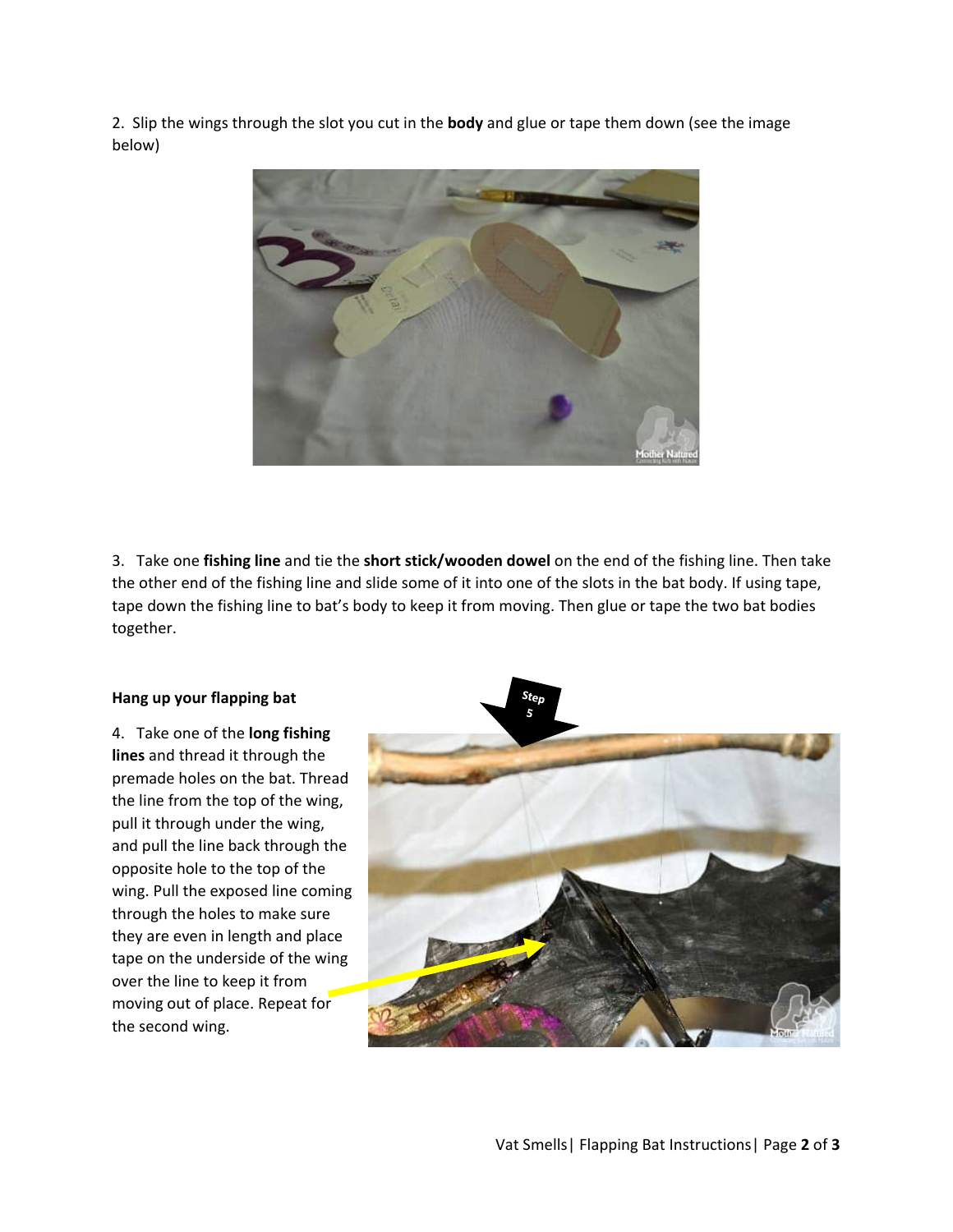2. Slip the wings through the slot you cut in the **body** and glue or tape them down (see the image below)



3. Take one **fishing line** and tie the **short stick/wooden dowel** on the end of the fishing line. Then take the other end of the fishing line and slide some of it into one of the slots in the bat body. If using tape, tape down the fishing line to bat's body to keep it from moving. Then glue or tape the two bat bodies together.

### **Hang up your flapping bat**

4. Take one of the **long fishing lines** and thread it through the premade holes on the bat. Thread the line from the top of the wing, pull it through under the wing, and pull the line back through the opposite hole to the top of the wing. Pull the exposed line coming through the holes to make sure they are even in length and place tape on the underside of the wing over the line to keep it from moving out of place. Repeat for the second wing.